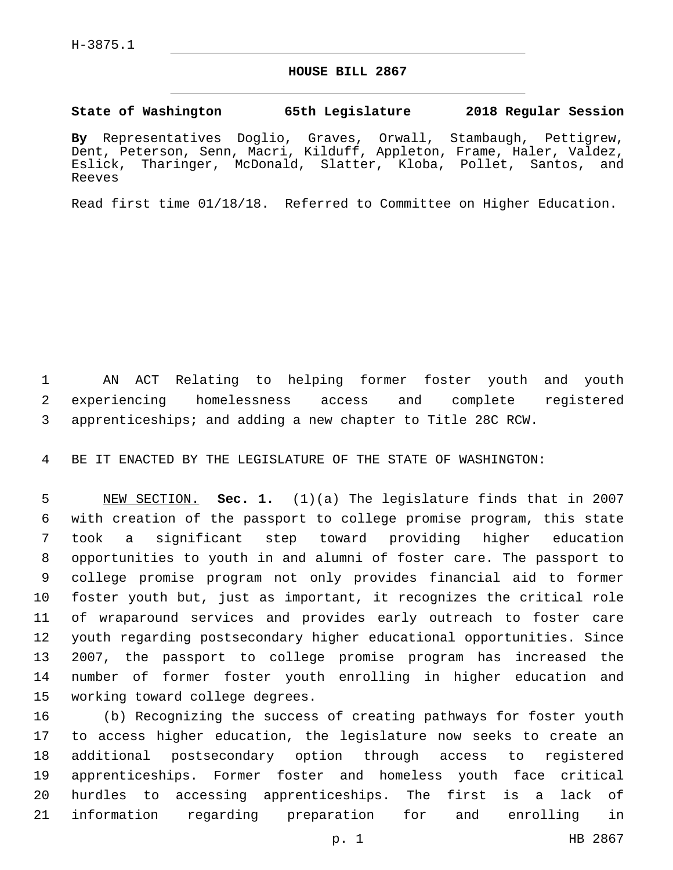## **HOUSE BILL 2867**

## **State of Washington 65th Legislature 2018 Regular Session**

**By** Representatives Doglio, Graves, Orwall, Stambaugh, Pettigrew, Dent, Peterson, Senn, Macri, Kilduff, Appleton, Frame, Haler, Valdez, Eslick, Tharinger, McDonald, Slatter, Kloba, Pollet, Santos, and Reeves

Read first time 01/18/18. Referred to Committee on Higher Education.

 AN ACT Relating to helping former foster youth and youth experiencing homelessness access and complete registered apprenticeships; and adding a new chapter to Title 28C RCW.

BE IT ENACTED BY THE LEGISLATURE OF THE STATE OF WASHINGTON:

 NEW SECTION. **Sec. 1.** (1)(a) The legislature finds that in 2007 with creation of the passport to college promise program, this state took a significant step toward providing higher education opportunities to youth in and alumni of foster care. The passport to college promise program not only provides financial aid to former foster youth but, just as important, it recognizes the critical role of wraparound services and provides early outreach to foster care youth regarding postsecondary higher educational opportunities. Since 2007, the passport to college promise program has increased the number of former foster youth enrolling in higher education and working toward college degrees.

 (b) Recognizing the success of creating pathways for foster youth to access higher education, the legislature now seeks to create an additional postsecondary option through access to registered apprenticeships. Former foster and homeless youth face critical hurdles to accessing apprenticeships. The first is a lack of information regarding preparation for and enrolling in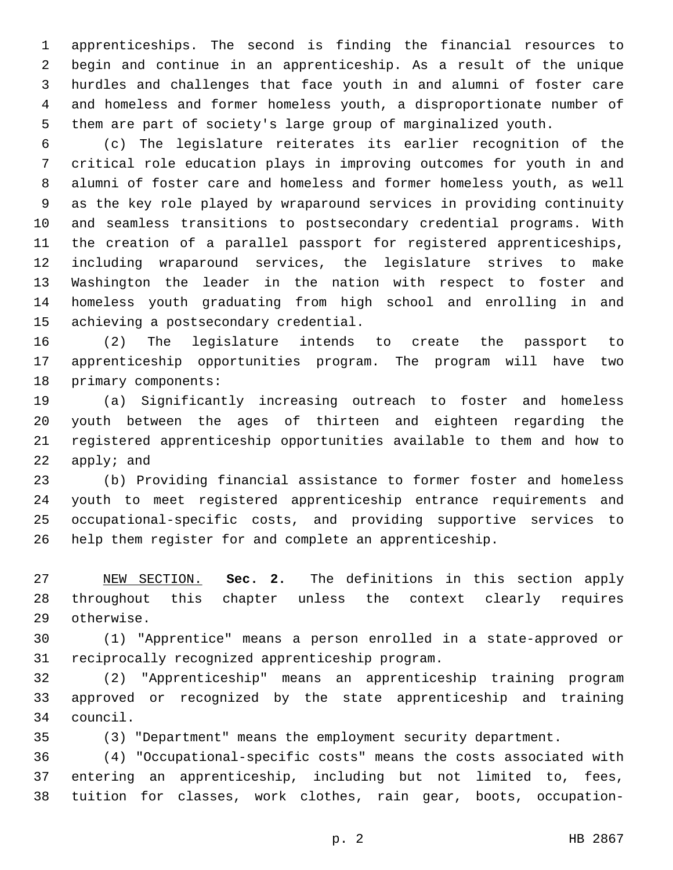apprenticeships. The second is finding the financial resources to begin and continue in an apprenticeship. As a result of the unique hurdles and challenges that face youth in and alumni of foster care and homeless and former homeless youth, a disproportionate number of them are part of society's large group of marginalized youth.

 (c) The legislature reiterates its earlier recognition of the critical role education plays in improving outcomes for youth in and alumni of foster care and homeless and former homeless youth, as well as the key role played by wraparound services in providing continuity and seamless transitions to postsecondary credential programs. With the creation of a parallel passport for registered apprenticeships, including wraparound services, the legislature strives to make Washington the leader in the nation with respect to foster and homeless youth graduating from high school and enrolling in and 15 achieving a postsecondary credential.

 (2) The legislature intends to create the passport to apprenticeship opportunities program. The program will have two 18 primary components:

 (a) Significantly increasing outreach to foster and homeless youth between the ages of thirteen and eighteen regarding the registered apprenticeship opportunities available to them and how to apply; and

 (b) Providing financial assistance to former foster and homeless youth to meet registered apprenticeship entrance requirements and occupational-specific costs, and providing supportive services to help them register for and complete an apprenticeship.

 NEW SECTION. **Sec. 2.** The definitions in this section apply throughout this chapter unless the context clearly requires otherwise.

 (1) "Apprentice" means a person enrolled in a state-approved or 31 reciprocally recognized apprenticeship program.

 (2) "Apprenticeship" means an apprenticeship training program approved or recognized by the state apprenticeship and training 34 council.

(3) "Department" means the employment security department.

 (4) "Occupational-specific costs" means the costs associated with entering an apprenticeship, including but not limited to, fees, tuition for classes, work clothes, rain gear, boots, occupation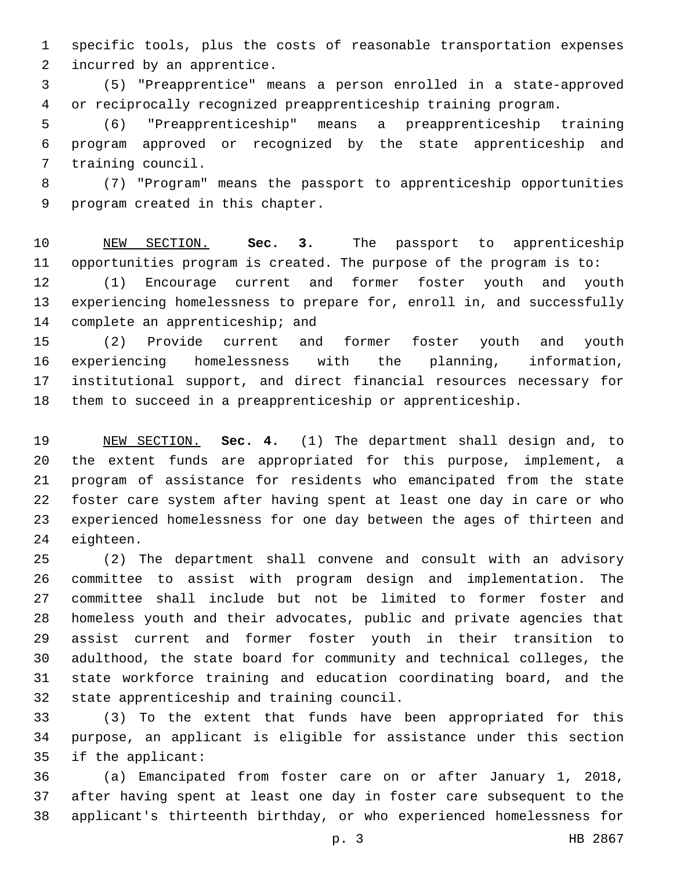specific tools, plus the costs of reasonable transportation expenses 2 incurred by an apprentice.

 (5) "Preapprentice" means a person enrolled in a state-approved or reciprocally recognized preapprenticeship training program.

 (6) "Preapprenticeship" means a preapprenticeship training program approved or recognized by the state apprenticeship and 7 training council.

 (7) "Program" means the passport to apprenticeship opportunities 9 program created in this chapter.

 NEW SECTION. **Sec. 3.** The passport to apprenticeship opportunities program is created. The purpose of the program is to:

 (1) Encourage current and former foster youth and youth experiencing homelessness to prepare for, enroll in, and successfully 14 complete an apprenticeship; and

 (2) Provide current and former foster youth and youth experiencing homelessness with the planning, information, institutional support, and direct financial resources necessary for them to succeed in a preapprenticeship or apprenticeship.

 NEW SECTION. **Sec. 4.** (1) The department shall design and, to the extent funds are appropriated for this purpose, implement, a program of assistance for residents who emancipated from the state foster care system after having spent at least one day in care or who experienced homelessness for one day between the ages of thirteen and eighteen.

 (2) The department shall convene and consult with an advisory committee to assist with program design and implementation. The committee shall include but not be limited to former foster and homeless youth and their advocates, public and private agencies that assist current and former foster youth in their transition to adulthood, the state board for community and technical colleges, the state workforce training and education coordinating board, and the 32 state apprenticeship and training council.

 (3) To the extent that funds have been appropriated for this purpose, an applicant is eligible for assistance under this section 35 if the applicant:

 (a) Emancipated from foster care on or after January 1, 2018, after having spent at least one day in foster care subsequent to the applicant's thirteenth birthday, or who experienced homelessness for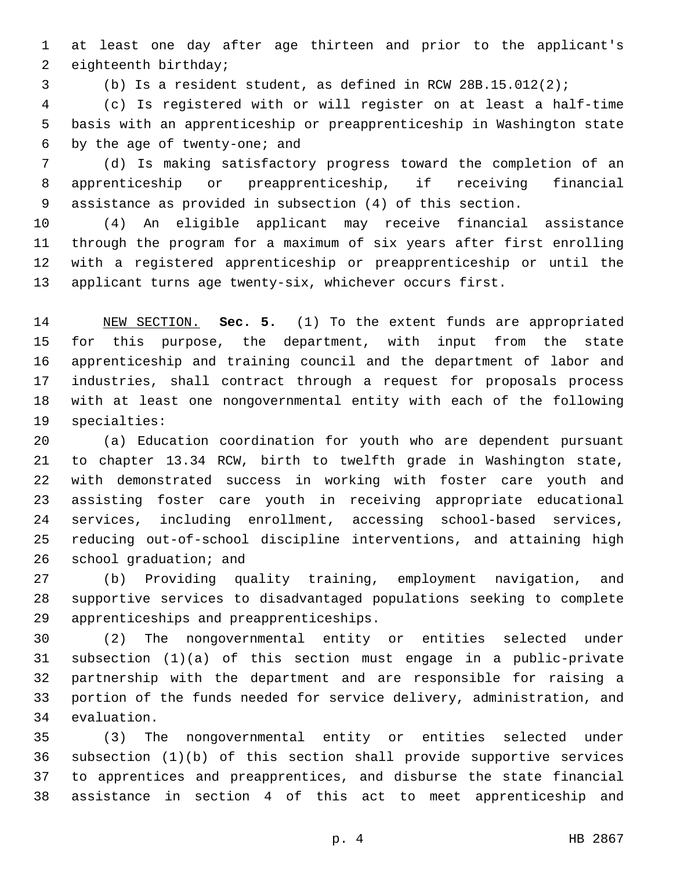at least one day after age thirteen and prior to the applicant's 2 eighteenth birthday;

(b) Is a resident student, as defined in RCW 28B.15.012(2);

 (c) Is registered with or will register on at least a half-time basis with an apprenticeship or preapprenticeship in Washington state 6 by the age of twenty-one; and

 (d) Is making satisfactory progress toward the completion of an apprenticeship or preapprenticeship, if receiving financial assistance as provided in subsection (4) of this section.

 (4) An eligible applicant may receive financial assistance through the program for a maximum of six years after first enrolling with a registered apprenticeship or preapprenticeship or until the applicant turns age twenty-six, whichever occurs first.

 NEW SECTION. **Sec. 5.** (1) To the extent funds are appropriated for this purpose, the department, with input from the state apprenticeship and training council and the department of labor and industries, shall contract through a request for proposals process with at least one nongovernmental entity with each of the following specialties:

 (a) Education coordination for youth who are dependent pursuant to chapter 13.34 RCW, birth to twelfth grade in Washington state, with demonstrated success in working with foster care youth and assisting foster care youth in receiving appropriate educational services, including enrollment, accessing school-based services, reducing out-of-school discipline interventions, and attaining high 26 school graduation; and

 (b) Providing quality training, employment navigation, and supportive services to disadvantaged populations seeking to complete apprenticeships and preapprenticeships.29

 (2) The nongovernmental entity or entities selected under subsection (1)(a) of this section must engage in a public-private partnership with the department and are responsible for raising a portion of the funds needed for service delivery, administration, and 34 evaluation.

 (3) The nongovernmental entity or entities selected under subsection (1)(b) of this section shall provide supportive services to apprentices and preapprentices, and disburse the state financial assistance in section 4 of this act to meet apprenticeship and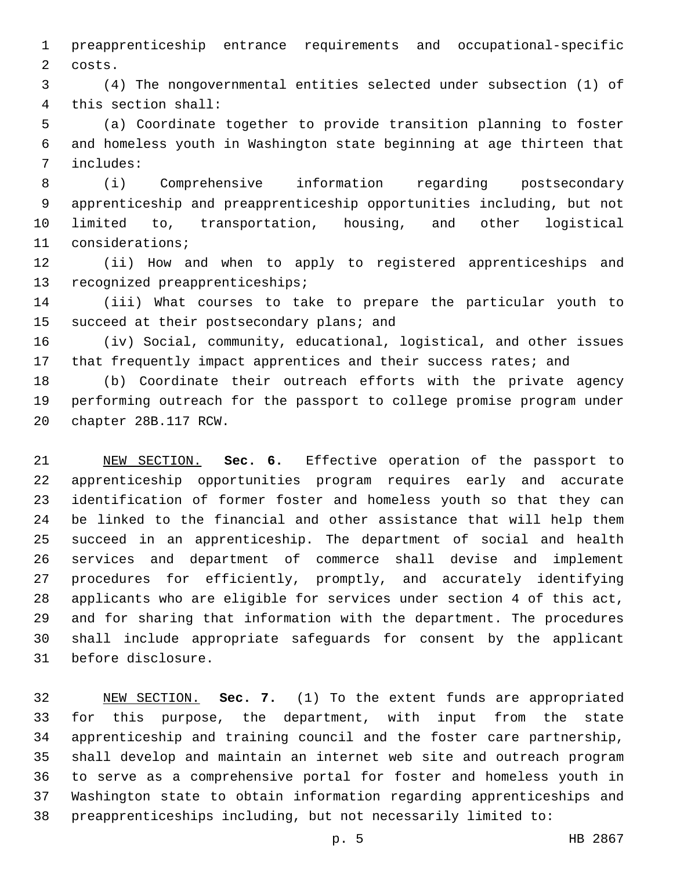preapprenticeship entrance requirements and occupational-specific 2 costs.

 (4) The nongovernmental entities selected under subsection (1) of this section shall:4

 (a) Coordinate together to provide transition planning to foster and homeless youth in Washington state beginning at age thirteen that 7 includes:

 (i) Comprehensive information regarding postsecondary apprenticeship and preapprenticeship opportunities including, but not limited to, transportation, housing, and other logistical 11 considerations;

 (ii) How and when to apply to registered apprenticeships and 13 recognized preapprenticeships;

 (iii) What courses to take to prepare the particular youth to 15 succeed at their postsecondary plans; and

 (iv) Social, community, educational, logistical, and other issues 17 that frequently impact apprentices and their success rates; and

 (b) Coordinate their outreach efforts with the private agency performing outreach for the passport to college promise program under 20 chapter 28B.117 RCW.

 NEW SECTION. **Sec. 6.** Effective operation of the passport to apprenticeship opportunities program requires early and accurate identification of former foster and homeless youth so that they can be linked to the financial and other assistance that will help them succeed in an apprenticeship. The department of social and health services and department of commerce shall devise and implement procedures for efficiently, promptly, and accurately identifying applicants who are eligible for services under section 4 of this act, and for sharing that information with the department. The procedures shall include appropriate safeguards for consent by the applicant before disclosure.

 NEW SECTION. **Sec. 7.** (1) To the extent funds are appropriated for this purpose, the department, with input from the state apprenticeship and training council and the foster care partnership, shall develop and maintain an internet web site and outreach program to serve as a comprehensive portal for foster and homeless youth in Washington state to obtain information regarding apprenticeships and preapprenticeships including, but not necessarily limited to: